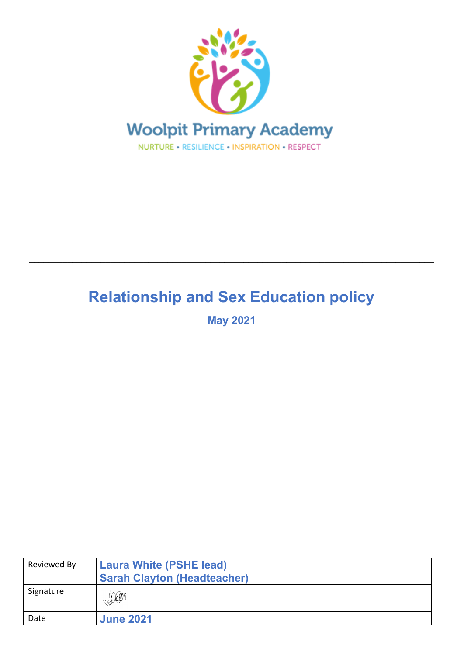

# **Relationship and Sex Education policy**

\_\_\_\_\_\_\_\_\_\_\_\_\_\_\_\_\_\_\_\_\_\_\_\_\_\_\_\_\_\_\_\_\_\_\_\_\_\_\_\_\_\_\_\_\_\_\_\_\_\_\_\_\_\_\_\_\_\_\_\_\_\_\_\_\_\_\_\_\_\_\_\_\_\_\_\_\_\_\_\_\_\_\_\_\_

**May 2021**

| Reviewed By | <b>Laura White (PSHE lead)</b><br><b>Sarah Clayton (Headteacher)</b> |
|-------------|----------------------------------------------------------------------|
| Signature   | Dagon                                                                |
| Date        | <b>June 2021</b>                                                     |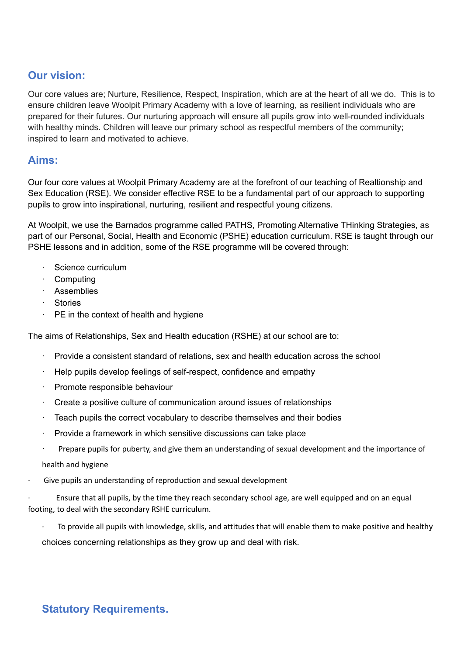## **Our vision:**

Our core values are; Nurture, Resilience, Respect, Inspiration, which are at the heart of all we do. This is to ensure children leave Woolpit Primary Academy with a love of learning, as resilient individuals who are prepared for their futures. Our nurturing approach will ensure all pupils grow into well-rounded individuals with healthy minds. Children will leave our primary school as respectful members of the community; inspired to learn and motivated to achieve.

## **Aims:**

Our four core values at Woolpit Primary Academy are at the forefront of our teaching of Realtionship and Sex Education (RSE). We consider effective RSE to be a fundamental part of our approach to supporting pupils to grow into inspirational, nurturing, resilient and respectful young citizens.

At Woolpit, we use the Barnados programme called PATHS, Promoting Alternative THinking Strategies, as part of our Personal, Social, Health and Economic (PSHE) education curriculum. RSE is taught through our PSHE lessons and in addition, some of the RSE programme will be covered through:

- Science curriculum
- **Computing**
- · Assemblies
- **Stories**
- PE in the context of health and hygiene

The aims of Relationships, Sex and Health education (RSHE) at our school are to:

- · Provide a consistent standard of relations, sex and health education across the school
- Help pupils develop feelings of self-respect, confidence and empathy
- Promote responsible behaviour
- · Create a positive culture of communication around issues of relationships
- Teach pupils the correct vocabulary to describe themselves and their bodies
- Provide a framework in which sensitive discussions can take place
- Prepare pupils for puberty, and give them an understanding of sexual development and the importance of health and hygiene
- Give pupils an understanding of reproduction and sexual development
- Ensure that all pupils, by the time they reach secondary school age, are well equipped and on an equal footing, to deal with the secondary RSHE curriculum.
	- To provide all pupils with knowledge, skills, and attitudes that will enable them to make positive and healthy choices concerning relationships as they grow up and deal with risk.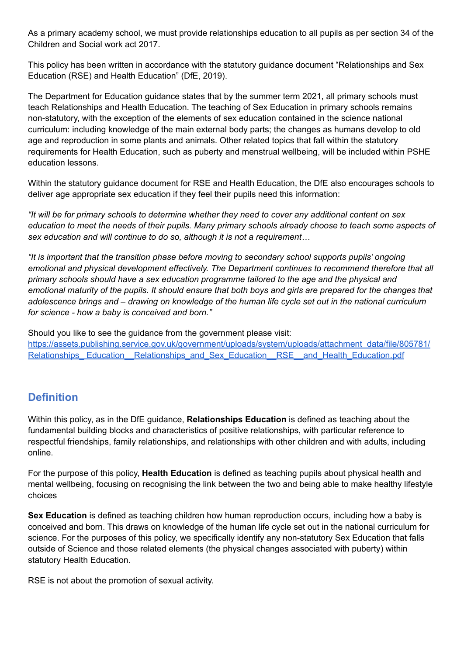As a primary academy school, we must provide relationships education to all pupils as per section 34 of the Children and Social work act 2017.

This policy has been written in accordance with the statutory guidance document "Relationships and Sex Education (RSE) and Health Education" (DfE, 2019).

The Department for Education guidance states that by the summer term 2021, all primary schools must teach Relationships and Health Education. The teaching of Sex Education in primary schools remains non-statutory, with the exception of the elements of sex education contained in the science national curriculum: including knowledge of the main external body parts; the changes as humans develop to old age and reproduction in some plants and animals. Other related topics that fall within the statutory requirements for Health Education, such as puberty and menstrual wellbeing, will be included within PSHE education lessons.

Within the statutory guidance document for RSE and Health Education, the DfE also encourages schools to deliver age appropriate sex education if they feel their pupils need this information:

"It will be for primary schools to determine whether they need to cover any additional content on sex education to meet the needs of their pupils. Many primary schools already choose to teach some aspects of *sex education and will continue to do so, although it is not a requirement…*

*"It is important that the transition phase before moving to secondary school supports pupils' ongoing emotional and physical development effectively. The Department continues to recommend therefore that all primary schools should have a sex education programme tailored to the age and the physical and* emotional maturity of the pupils. It should ensure that both boys and girls are prepared for the changes that adolescence brings and - drawing on knowledge of the human life cycle set out in the national curriculum *for science - how a baby is conceived and born."*

Should you like to see the guidance from the government please visit: [https://assets.publishing.service.gov.uk/government/uploads/system/uploads/attachment\\_data/file/805781/](https://assets.publishing.service.gov.uk/government/uploads/system/uploads/attachment_data/file/805781/Relationships_%20Education__Relationships_and_Sex_Education__RSE__and_Health_Education.pdf) Relationships\_Education\_Relationships\_and\_Sex\_Education\_RSE\_\_and\_Health\_Education.pdf

# **Definition**

Within this policy, as in the DfE guidance, **Relationships Education** is defined as teaching about the fundamental building blocks and characteristics of positive relationships, with particular reference to respectful friendships, family relationships, and relationships with other children and with adults, including online.

For the purpose of this policy, **Health Education** is defined as teaching pupils about physical health and mental wellbeing, focusing on recognising the link between the two and being able to make healthy lifestyle choices

**Sex Education** is defined as teaching children how human reproduction occurs, including how a baby is conceived and born. This draws on knowledge of the human life cycle set out in the national curriculum for science. For the purposes of this policy, we specifically identify any non-statutory Sex Education that falls outside of Science and those related elements (the physical changes associated with puberty) within statutory Health Education.

RSE is not about the promotion of sexual activity.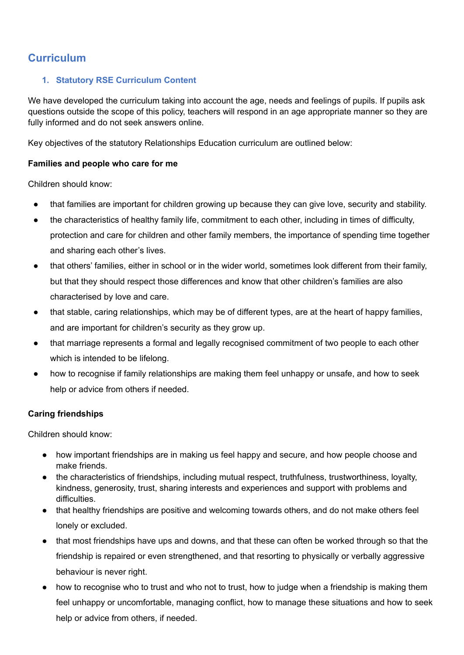# **Curriculum**

## **1. Statutory RSE Curriculum Content**

We have developed the curriculum taking into account the age, needs and feelings of pupils. If pupils ask questions outside the scope of this policy, teachers will respond in an age appropriate manner so they are fully informed and do not seek answers online.

Key objectives of the statutory Relationships Education curriculum are outlined below:

#### **Families and people who care for me**

Children should know:

- that families are important for children growing up because they can give love, security and stability.
- the characteristics of healthy family life, commitment to each other, including in times of difficulty, protection and care for children and other family members, the importance of spending time together and sharing each other's lives.
- that others' families, either in school or in the wider world, sometimes look different from their family, but that they should respect those differences and know that other children's families are also characterised by love and care.
- that stable, caring relationships, which may be of different types, are at the heart of happy families, and are important for children's security as they grow up.
- that marriage represents a formal and legally recognised commitment of two people to each other which is intended to be lifelong.
- how to recognise if family relationships are making them feel unhappy or unsafe, and how to seek help or advice from others if needed.

## **Caring friendships**

Children should know:

- how important friendships are in making us feel happy and secure, and how people choose and make friends.
- the characteristics of friendships, including mutual respect, truthfulness, trustworthiness, loyalty, kindness, generosity, trust, sharing interests and experiences and support with problems and difficulties.
- that healthy friendships are positive and welcoming towards others, and do not make others feel lonely or excluded.
- that most friendships have ups and downs, and that these can often be worked through so that the friendship is repaired or even strengthened, and that resorting to physically or verbally aggressive behaviour is never right.
- how to recognise who to trust and who not to trust, how to judge when a friendship is making them feel unhappy or uncomfortable, managing conflict, how to manage these situations and how to seek help or advice from others, if needed.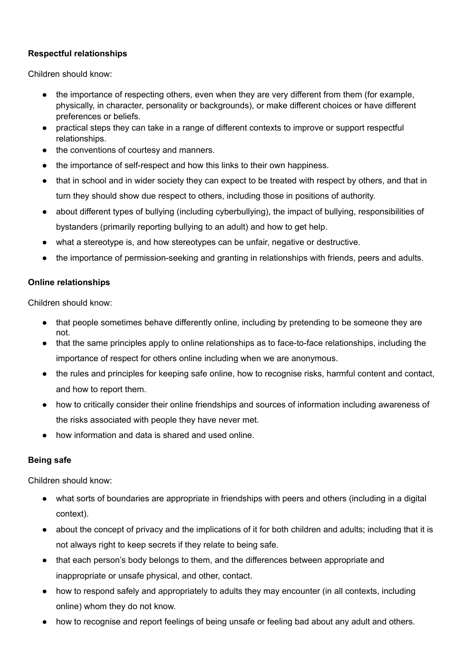#### **Respectful relationships**

Children should know:

- the importance of respecting others, even when they are very different from them (for example, physically, in character, personality or backgrounds), or make different choices or have different preferences or beliefs.
- practical steps they can take in a range of different contexts to improve or support respectful relationships.
- the conventions of courtesy and manners.
- the importance of self-respect and how this links to their own happiness.
- that in school and in wider society they can expect to be treated with respect by others, and that in turn they should show due respect to others, including those in positions of authority.
- about different types of bullying (including cyberbullying), the impact of bullying, responsibilities of bystanders (primarily reporting bullying to an adult) and how to get help.
- what a stereotype is, and how stereotypes can be unfair, negative or destructive.
- the importance of permission-seeking and granting in relationships with friends, peers and adults.

#### **Online relationships**

Children should know:

- that people sometimes behave differently online, including by pretending to be someone they are not.
- that the same principles apply to online relationships as to face-to-face relationships, including the importance of respect for others online including when we are anonymous.
- the rules and principles for keeping safe online, how to recognise risks, harmful content and contact, and how to report them.
- how to critically consider their online friendships and sources of information including awareness of the risks associated with people they have never met.
- how information and data is shared and used online.

## **Being safe**

Children should know:

- what sorts of boundaries are appropriate in friendships with peers and others (including in a digital context).
- about the concept of privacy and the implications of it for both children and adults; including that it is not always right to keep secrets if they relate to being safe.
- that each person's body belongs to them, and the differences between appropriate and inappropriate or unsafe physical, and other, contact.
- how to respond safely and appropriately to adults they may encounter (in all contexts, including online) whom they do not know.
- how to recognise and report feelings of being unsafe or feeling bad about any adult and others.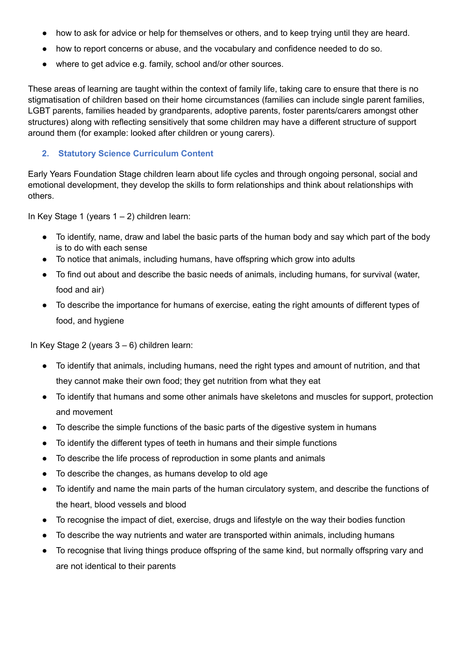- how to ask for advice or help for themselves or others, and to keep trying until they are heard.
- how to report concerns or abuse, and the vocabulary and confidence needed to do so.
- where to get advice e.g. family, school and/or other sources.

These areas of learning are taught within the context of family life, taking care to ensure that there is no stigmatisation of children based on their home circumstances (families can include single parent families, LGBT parents, families headed by grandparents, adoptive parents, foster parents/carers amongst other structures) along with reflecting sensitively that some children may have a different structure of support around them (for example: looked after children or young carers).

#### **2. Statutory Science Curriculum Content**

Early Years Foundation Stage children learn about life cycles and through ongoing personal, social and emotional development, they develop the skills to form relationships and think about relationships with others.

In Key Stage 1 (years 1 – 2) children learn:

- To identify, name, draw and label the basic parts of the human body and say which part of the body is to do with each sense
- To notice that animals, including humans, have offspring which grow into adults
- To find out about and describe the basic needs of animals, including humans, for survival (water, food and air)
- To describe the importance for humans of exercise, eating the right amounts of different types of food, and hygiene

In Key Stage 2 (years 3 – 6) children learn:

- To identify that animals, including humans, need the right types and amount of nutrition, and that they cannot make their own food; they get nutrition from what they eat
- To identify that humans and some other animals have skeletons and muscles for support, protection and movement
- To describe the simple functions of the basic parts of the digestive system in humans
- To identify the different types of teeth in humans and their simple functions
- To describe the life process of reproduction in some plants and animals
- To describe the changes, as humans develop to old age
- To identify and name the main parts of the human circulatory system, and describe the functions of the heart, blood vessels and blood
- To recognise the impact of diet, exercise, drugs and lifestyle on the way their bodies function
- To describe the way nutrients and water are transported within animals, including humans
- To recognise that living things produce offspring of the same kind, but normally offspring vary and are not identical to their parents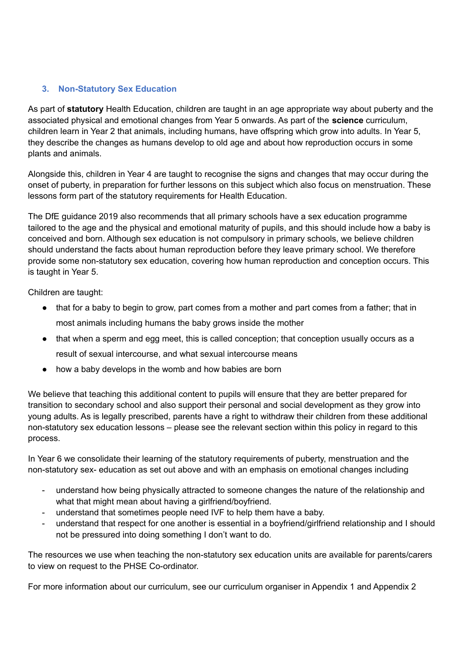#### **3. Non-Statutory Sex Education**

As part of **statutory** Health Education, children are taught in an age appropriate way about puberty and the associated physical and emotional changes from Year 5 onwards. As part of the **science** curriculum, children learn in Year 2 that animals, including humans, have offspring which grow into adults. In Year 5, they describe the changes as humans develop to old age and about how reproduction occurs in some plants and animals.

Alongside this, children in Year 4 are taught to recognise the signs and changes that may occur during the onset of puberty, in preparation for further lessons on this subject which also focus on menstruation. These lessons form part of the statutory requirements for Health Education.

The DfE guidance 2019 also recommends that all primary schools have a sex education programme tailored to the age and the physical and emotional maturity of pupils, and this should include how a baby is conceived and born. Although sex education is not compulsory in primary schools, we believe children should understand the facts about human reproduction before they leave primary school. We therefore provide some non-statutory sex education, covering how human reproduction and conception occurs. This is taught in Year 5.

Children are taught:

- that for a baby to begin to grow, part comes from a mother and part comes from a father; that in most animals including humans the baby grows inside the mother
- that when a sperm and egg meet, this is called conception; that conception usually occurs as a result of sexual intercourse, and what sexual intercourse means
- how a baby develops in the womb and how babies are born

We believe that teaching this additional content to pupils will ensure that they are better prepared for transition to secondary school and also support their personal and social development as they grow into young adults. As is legally prescribed, parents have a right to withdraw their children from these additional non-statutory sex education lessons – please see the relevant section within this policy in regard to this process.

In Year 6 we consolidate their learning of the statutory requirements of puberty, menstruation and the non-statutory sex- education as set out above and with an emphasis on emotional changes including

- understand how being physically attracted to someone changes the nature of the relationship and what that might mean about having a girlfriend/boyfriend.
- understand that sometimes people need IVF to help them have a baby.
- understand that respect for one another is essential in a boyfriend/girlfriend relationship and I should not be pressured into doing something I don't want to do.

The resources we use when teaching the non-statutory sex education units are available for parents/carers to view on request to the PHSE Co-ordinator.

For more information about our curriculum, see our curriculum organiser in Appendix 1 and Appendix 2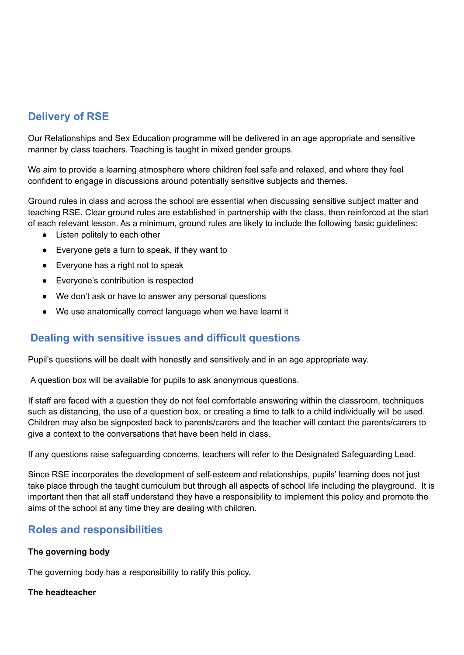# **Delivery of RSE**

Our Relationships and Sex Education programme will be delivered in an age appropriate and sensitive manner by class teachers. Teaching is taught in mixed gender groups.

We aim to provide a learning atmosphere where children feel safe and relaxed, and where they feel confident to engage in discussions around potentially sensitive subjects and themes.

Ground rules in class and across the school are essential when discussing sensitive subject matter and teaching RSE. Clear ground rules are established in partnership with the class, then reinforced at the start of each relevant lesson. As a minimum, ground rules are likely to include the following basic guidelines:

- **Listen politely to each other**
- Everyone gets a turn to speak, if they want to
- Everyone has a right not to speak
- Everyone's contribution is respected
- We don't ask or have to answer any personal questions
- We use anatomically correct language when we have learnt it

# **Dealing with sensitive issues and difficult questions**

Pupil's questions will be dealt with honestly and sensitively and in an age appropriate way.

A question box will be available for pupils to ask anonymous questions.

If staff are faced with a question they do not feel comfortable answering within the classroom, techniques such as distancing, the use of a question box, or creating a time to talk to a child individually will be used. Children may also be signposted back to parents/carers and the teacher will contact the parents/carers to give a context to the conversations that have been held in class.

If any questions raise safeguarding concerns, teachers will refer to the Designated Safeguarding Lead.

Since RSE incorporates the development of self-esteem and relationships, pupils' learning does not just take place through the taught curriculum but through all aspects of school life including the playground. It is important then that all staff understand they have a responsibility to implement this policy and promote the aims of the school at any time they are dealing with children.

## **Roles and responsibilities**

#### **The governing body**

The governing body has a responsibility to ratify this policy.

#### **The headteacher**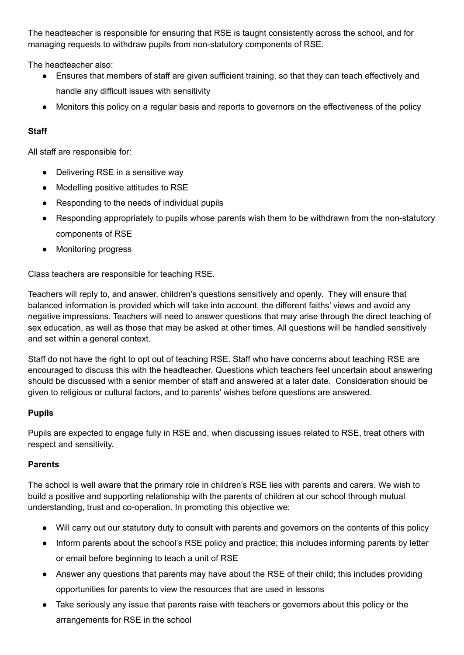The headteacher is responsible for ensuring that RSE is taught consistently across the school, and for managing requests to withdraw pupils from non-statutory components of RSE.

The headteacher also:

- Ensures that members of staff are given sufficient training, so that they can teach effectively and handle any difficult issues with sensitivity
- Monitors this policy on a regular basis and reports to governors on the effectiveness of the policy

### **Staff**

All staff are responsible for:

- Delivering RSE in a sensitive way
- Modelling positive attitudes to RSE
- Responding to the needs of individual pupils
- Responding appropriately to pupils whose parents wish them to be withdrawn from the non-statutory components of RSE
- Monitoring progress

Class teachers are responsible for teaching RSE.

Teachers will reply to, and answer, children's questions sensitively and openly. They will ensure that balanced information is provided which will take into account, the different faiths' views and avoid any negative impressions. Teachers will need to answer questions that may arise through the direct teaching of sex education, as well as those that may be asked at other times. All questions will be handled sensitively and set within a general context.

Staff do not have the right to opt out of teaching RSE. Staff who have concerns about teaching RSE are encouraged to discuss this with the headteacher. Questions which teachers feel uncertain about answering should be discussed with a senior member of staff and answered at a later date. Consideration should be given to religious or cultural factors, and to parents' wishes before questions are answered.

#### **Pupils**

Pupils are expected to engage fully in RSE and, when discussing issues related to RSE, treat others with respect and sensitivity.

#### **Parents**

The school is well aware that the primary role in children's RSE lies with parents and carers. We wish to build a positive and supporting relationship with the parents of children at our school through mutual understanding, trust and co-operation. In promoting this objective we:

- Will carry out our statutory duty to consult with parents and governors on the contents of this policy
- Inform parents about the school's RSE policy and practice; this includes informing parents by letter or email before beginning to teach a unit of RSE
- Answer any questions that parents may have about the RSE of their child; this includes providing opportunities for parents to view the resources that are used in lessons
- Take seriously any issue that parents raise with teachers or governors about this policy or the arrangements for RSE in the school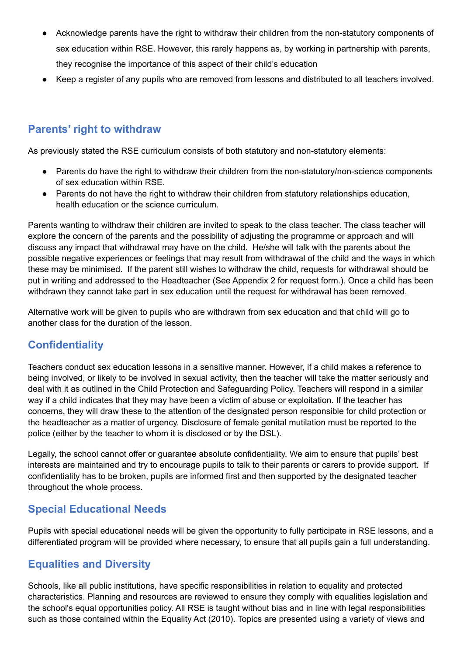- Acknowledge parents have the right to withdraw their children from the non-statutory components of sex education within RSE. However, this rarely happens as, by working in partnership with parents, they recognise the importance of this aspect of their child's education
- Keep a register of any pupils who are removed from lessons and distributed to all teachers involved.

# **Parents' right to withdraw**

As previously stated the RSE curriculum consists of both statutory and non-statutory elements:

- Parents do have the right to withdraw their children from the non-statutory/non-science components of sex education within RSE.
- Parents do not have the right to withdraw their children from statutory relationships education, health education or the science curriculum.

Parents wanting to withdraw their children are invited to speak to the class teacher. The class teacher will explore the concern of the parents and the possibility of adjusting the programme or approach and will discuss any impact that withdrawal may have on the child. He/she will talk with the parents about the possible negative experiences or feelings that may result from withdrawal of the child and the ways in which these may be minimised. If the parent still wishes to withdraw the child, requests for withdrawal should be put in writing and addressed to the Headteacher (See Appendix 2 for request form.). Once a child has been withdrawn they cannot take part in sex education until the request for withdrawal has been removed.

Alternative work will be given to pupils who are withdrawn from sex education and that child will go to another class for the duration of the lesson.

# **Confidentiality**

Teachers conduct sex education lessons in a sensitive manner. However, if a child makes a reference to being involved, or likely to be involved in sexual activity, then the teacher will take the matter seriously and deal with it as outlined in the Child Protection and Safeguarding Policy. Teachers will respond in a similar way if a child indicates that they may have been a victim of abuse or exploitation. If the teacher has concerns, they will draw these to the attention of the designated person responsible for child protection or the headteacher as a matter of urgency. Disclosure of female genital mutilation must be reported to the police (either by the teacher to whom it is disclosed or by the DSL).

Legally, the school cannot offer or guarantee absolute confidentiality. We aim to ensure that pupils' best interests are maintained and try to encourage pupils to talk to their parents or carers to provide support. If confidentiality has to be broken, pupils are informed first and then supported by the designated teacher throughout the whole process.

# **Special Educational Needs**

Pupils with special educational needs will be given the opportunity to fully participate in RSE lessons, and a differentiated program will be provided where necessary, to ensure that all pupils gain a full understanding.

# **Equalities and Diversity**

Schools, like all public institutions, have specific responsibilities in relation to equality and protected characteristics. Planning and resources are reviewed to ensure they comply with equalities legislation and the school's equal opportunities policy. All RSE is taught without bias and in line with legal responsibilities such as those contained within the Equality Act (2010). Topics are presented using a variety of views and